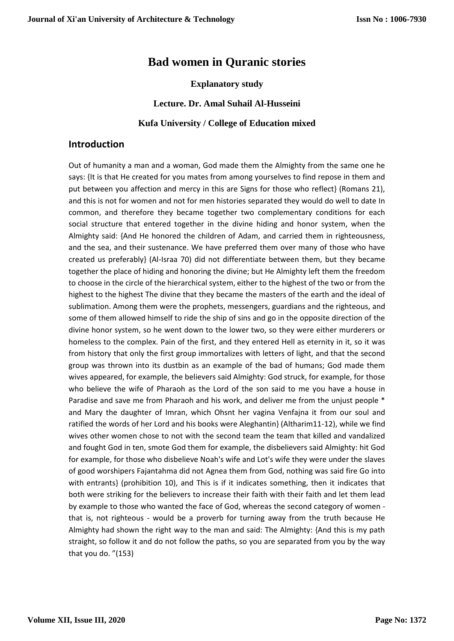# **Bad women in Quranic stories**

**Explanatory study**

**Lecture. Dr. Amal Suhail Al-Husseini**

**Kufa University / College of Education mixed**

### **Introduction**

Out of humanity a man and a woman, God made them the Almighty from the same one he says: {It is that He created for you mates from among yourselves to find repose in them and put between you affection and mercy in this are Signs for those who reflect} (Romans 21), and this is not for women and not for men histories separated they would do well to date In common, and therefore they became together two complementary conditions for each social structure that entered together in the divine hiding and honor system, when the Almighty said: {And He honored the children of Adam, and carried them in righteousness, and the sea, and their sustenance. We have preferred them over many of those who have created us preferably} (Al-Israa 70) did not differentiate between them, but they became together the place of hiding and honoring the divine; but He Almighty left them the freedom to choose in the circle of the hierarchical system, either to the highest of the two or from the highest to the highest The divine that they became the masters of the earth and the ideal of sublimation. Among them were the prophets, messengers, guardians and the righteous, and some of them allowed himself to ride the ship of sins and go in the opposite direction of the divine honor system, so he went down to the lower two, so they were either murderers or homeless to the complex. Pain of the first, and they entered Hell as eternity in it, so it was from history that only the first group immortalizes with letters of light, and that the second group was thrown into its dustbin as an example of the bad of humans; God made them wives appeared, for example, the believers said Almighty: God struck, for example, for those who believe the wife of Pharaoh as the Lord of the son said to me you have a house in Paradise and save me from Pharaoh and his work, and deliver me from the unjust people \* and Mary the daughter of Imran, which Ohsnt her vagina Venfajna it from our soul and ratified the words of her Lord and his books were Aleghantin} (Altharim11-12), while we find wives other women chose to not with the second team the team that killed and vandalized and fought God in ten, smote God them for example, the disbelievers said Almighty: hit God for example, for those who disbelieve Noah's wife and Lot's wife they were under the slaves of good worshipers Fajantahma did not Agnea them from God, nothing was said fire Go into with entrants} (prohibition 10), and This is if it indicates something, then it indicates that both were striking for the believers to increase their faith with their faith and let them lead by example to those who wanted the face of God, whereas the second category of women that is, not righteous - would be a proverb for turning away from the truth because He Almighty had shown the right way to the man and said: The Almighty: {And this is my path straight, so follow it and do not follow the paths, so you are separated from you by the way that you do. "(153)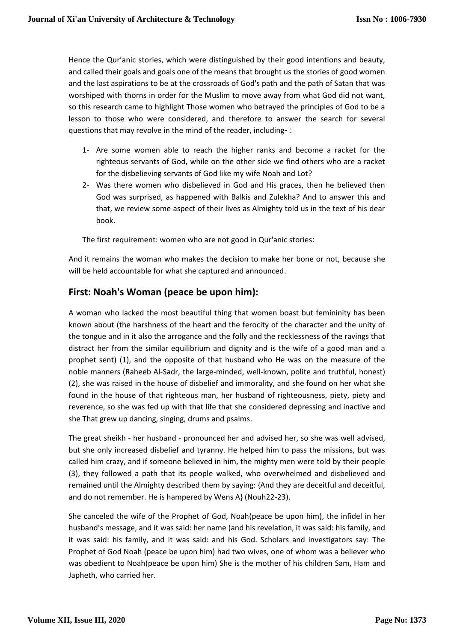Hence the Qur'anic stories, which were distinguished by their good intentions and beauty, and called their goals and goals one of the means that brought us the stories of good women and the last aspirations to be at the crossroads of God's path and the path of Satan that was worshiped with thorns in order for the Muslim to move away from what God did not want, so this research came to highlight Those women who betrayed the principles of God to be a lesson to those who were considered, and therefore to answer the search for several questions that may revolve in the mind of the reader, including- :

- 1- Are some women able to reach the higher ranks and become a racket for the righteous servants of God, while on the other side we find others who are a racket for the disbelieving servants of God like my wife Noah and Lot?
- 2- Was there women who disbelieved in God and His graces, then he believed then God was surprised, as happened with Balkis and Zulekha? And to answer this and that, we review some aspect of their lives as Almighty told us in the text of his dear book.

The first requirement: women who are not good in Qur'anic stories:

And it remains the woman who makes the decision to make her bone or not, because she will be held accountable for what she captured and announced.

### **First: Noah's Woman (peace be upon him):**

A woman who lacked the most beautiful thing that women boast but femininity has been known about (the harshness of the heart and the ferocity of the character and the unity of the tongue and in it also the arrogance and the folly and the recklessness of the ravings that distract her from the similar equilibrium and dignity and is the wife of a good man and a prophet sent) (1), and the opposite of that husband who He was on the measure of the noble manners (Raheeb Al-Sadr, the large-minded, well-known, polite and truthful, honest) (2), she was raised in the house of disbelief and immorality, and she found on her what she found in the house of that righteous man, her husband of righteousness, piety, piety and reverence, so she was fed up with that life that she considered depressing and inactive and she That grew up dancing, singing, drums and psalms.

The great sheikh - her husband - pronounced her and advised her, so she was well advised, but she only increased disbelief and tyranny. He helped him to pass the missions, but was called him crazy, and if someone believed in him, the mighty men were told by their people (3), they followed a path that its people walked, who overwhelmed and disbelieved and remained until the Almighty described them by saying: {And they are deceitful and deceitful, and do not remember. He is hampered by Wens A} (Nouh22-23).

She canceled the wife of the Prophet of God, Noah(peace be upon him), the infidel in her husband's message, and it was said: her name (and his revelation, it was said: his family, and it was said: his family, and it was said: and his God. Scholars and investigators say: The Prophet of God Noah (peace be upon him) had two wives, one of whom was a believer who was obedient to Noah(peace be upon him) She is the mother of his children Sam, Ham and Japheth, who carried her.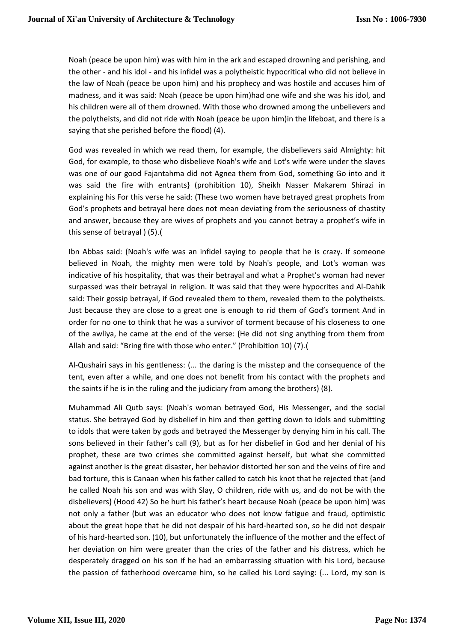Noah (peace be upon him) was with him in the ark and escaped drowning and perishing, and the other - and his idol - and his infidel was a polytheistic hypocritical who did not believe in the law of Noah (peace be upon him) and his prophecy and was hostile and accuses him of madness, and it was said: Noah (peace be upon him)had one wife and she was his idol, and his children were all of them drowned. With those who drowned among the unbelievers and the polytheists, and did not ride with Noah (peace be upon him)in the lifeboat, and there is a saying that she perished before the flood) (4).

God was revealed in which we read them, for example, the disbelievers said Almighty: hit God, for example, to those who disbelieve Noah's wife and Lot's wife were under the slaves was one of our good Fajantahma did not Agnea them from God, something Go into and it was said the fire with entrants} (prohibition 10), Sheikh Nasser Makarem Shirazi in explaining his For this verse he said: (These two women have betrayed great prophets from God's prophets and betrayal here does not mean deviating from the seriousness of chastity and answer, because they are wives of prophets and you cannot betray a prophet's wife in this sense of betrayal  $(5)$ .

Ibn Abbas said: (Noah's wife was an infidel saying to people that he is crazy. If someone believed in Noah, the mighty men were told by Noah's people, and Lot's woman was indicative of his hospitality, that was their betrayal and what a Prophet's woman had never surpassed was their betrayal in religion. It was said that they were hypocrites and Al-Dahik said: Their gossip betrayal, if God revealed them to them, revealed them to the polytheists. Just because they are close to a great one is enough to rid them of God's torment And in order for no one to think that he was a survivor of torment because of his closeness to one of the awliya, he came at the end of the verse: {He did not sing anything from them from Allah and said: "Bring fire with those who enter." (Prohibition 10) (7).(

Al-Qushairi says in his gentleness: (... the daring is the misstep and the consequence of the tent, even after a while, and one does not benefit from his contact with the prophets and the saints if he is in the ruling and the judiciary from among the brothers) (8).

Muhammad Ali Qutb says: (Noah's woman betrayed God, His Messenger, and the social status. She betrayed God by disbelief in him and then getting down to idols and submitting to idols that were taken by gods and betrayed the Messenger by denying him in his call. The sons believed in their father's call (9), but as for her disbelief in God and her denial of his prophet, these are two crimes she committed against herself, but what she committed against another is the great disaster, her behavior distorted her son and the veins of fire and bad torture, this is Canaan when his father called to catch his knot that he rejected that {and he called Noah his son and was with Slay, O children, ride with us, and do not be with the disbelievers} (Hood 42) So he hurt his father's heart because Noah (peace be upon him) was not only a father (but was an educator who does not know fatigue and fraud, optimistic about the great hope that he did not despair of his hard-hearted son, so he did not despair of his hard-hearted son. (10), but unfortunately the influence of the mother and the effect of her deviation on him were greater than the cries of the father and his distress, which he desperately dragged on his son if he had an embarrassing situation with his Lord, because the passion of fatherhood overcame him, so he called his Lord saying: {... Lord, my son is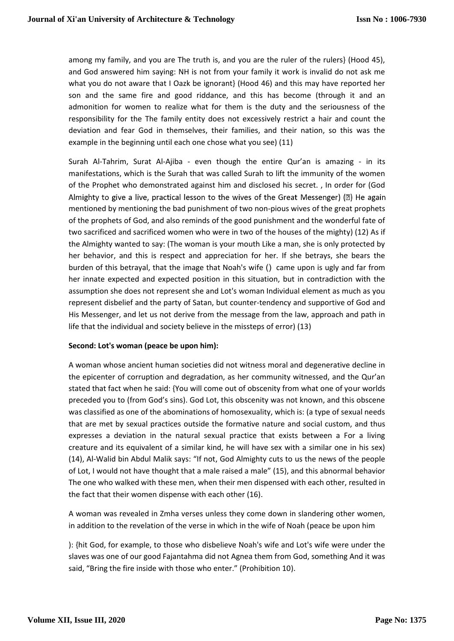among my family, and you are The truth is, and you are the ruler of the rulers} (Hood 45), and God answered him saying: NH is not from your family it work is invalid do not ask me what you do not aware that I Oazk be ignorant} (Hood 46) and this may have reported her son and the same fire and good riddance, and this has become (through it and an admonition for women to realize what for them is the duty and the seriousness of the responsibility for the The family entity does not excessively restrict a hair and count the deviation and fear God in themselves, their families, and their nation, so this was the example in the beginning until each one chose what you see) (11)

Surah Al-Tahrim, Surat Al-Ajiba - even though the entire Qur'an is amazing - in its manifestations, which is the Surah that was called Surah to lift the immunity of the women of the Prophet who demonstrated against him and disclosed his secret. , In order for (God Almighty to give a live, practical lesson to the wives of the Great Messenger) (2) He again mentioned by mentioning the bad punishment of two non-pious wives of the great prophets of the prophets of God, and also reminds of the good punishment and the wonderful fate of two sacrificed and sacrificed women who were in two of the houses of the mighty) (12) As if the Almighty wanted to say: (The woman is your mouth Like a man, she is only protected by her behavior, and this is respect and appreciation for her. If she betrays, she bears the burden of this betrayal, that the image that Noah's wife () came upon is ugly and far from her innate expected and expected position in this situation, but in contradiction with the assumption she does not represent she and Lot's woman Individual element as much as you represent disbelief and the party of Satan, but counter-tendency and supportive of God and His Messenger, and let us not derive from the message from the law, approach and path in life that the individual and society believe in the missteps of error) (13)

#### **Second: Lot's woman (peace be upon him):**

A woman whose ancient human societies did not witness moral and degenerative decline in the epicenter of corruption and degradation, as her community witnessed, and the Qur'an stated that fact when he said: {You will come out of obscenity from what one of your worlds preceded you to (from God's sins). God Lot, this obscenity was not known, and this obscene was classified as one of the abominations of homosexuality, which is: (a type of sexual needs that are met by sexual practices outside the formative nature and social custom, and thus expresses a deviation in the natural sexual practice that exists between a For a living creature and its equivalent of a similar kind, he will have sex with a similar one in his sex) (14), Al-Walid bin Abdul Malik says: "If not, God Almighty cuts to us the news of the people of Lot, I would not have thought that a male raised a male" (15), and this abnormal behavior The one who walked with these men, when their men dispensed with each other, resulted in the fact that their women dispense with each other (16).

A woman was revealed in Zmha verses unless they come down in slandering other women, in addition to the revelation of the verse in which in the wife of Noah (peace be upon him

): {hit God, for example, to those who disbelieve Noah's wife and Lot's wife were under the slaves was one of our good Fajantahma did not Agnea them from God, something And it was said, "Bring the fire inside with those who enter." (Prohibition 10).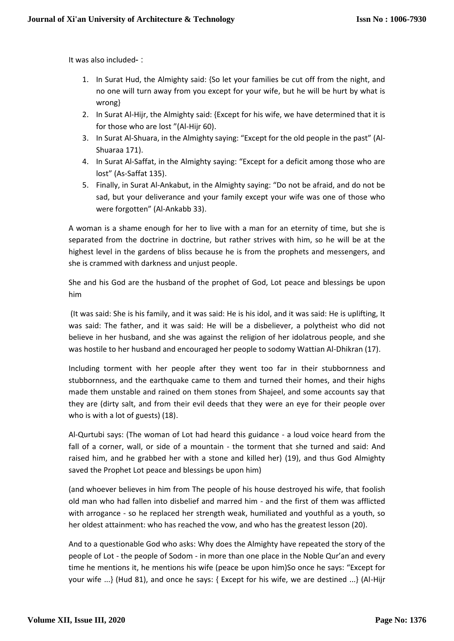It was also included- :

- 1. In Surat Hud, the Almighty said: {So let your families be cut off from the night, and no one will turn away from you except for your wife, but he will be hurt by what is wrong}
- 2. In Surat Al-Hijr, the Almighty said: {Except for his wife, we have determined that it is for those who are lost "(Al-Hijr 60).
- 3. In Surat Al-Shuara, in the Almighty saying: "Except for the old people in the past" (Al-Shuaraa 171).
- 4. In Surat Al-Saffat, in the Almighty saying: "Except for a deficit among those who are lost" (As-Saffat 135).
- 5. Finally, in Surat Al-Ankabut, in the Almighty saying: "Do not be afraid, and do not be sad, but your deliverance and your family except your wife was one of those who were forgotten" (Al-Ankabb 33).

A woman is a shame enough for her to live with a man for an eternity of time, but she is separated from the doctrine in doctrine, but rather strives with him, so he will be at the highest level in the gardens of bliss because he is from the prophets and messengers, and she is crammed with darkness and unjust people.

She and his God are the husband of the prophet of God, Lot peace and blessings be upon him

(It was said: She is his family, and it was said: He is his idol, and it was said: He is uplifting, It was said: The father, and it was said: He will be a disbeliever, a polytheist who did not believe in her husband, and she was against the religion of her idolatrous people, and she was hostile to her husband and encouraged her people to sodomy Wattian Al-Dhikran (17).

Including torment with her people after they went too far in their stubbornness and stubbornness, and the earthquake came to them and turned their homes, and their highs made them unstable and rained on them stones from Shajeel, and some accounts say that they are (dirty salt, and from their evil deeds that they were an eye for their people over who is with a lot of guests) (18).

Al-Qurtubi says: (The woman of Lot had heard this guidance - a loud voice heard from the fall of a corner, wall, or side of a mountain - the torment that she turned and said: And raised him, and he grabbed her with a stone and killed her) (19), and thus God Almighty saved the Prophet Lot peace and blessings be upon him)

(and whoever believes in him from The people of his house destroyed his wife, that foolish old man who had fallen into disbelief and marred him - and the first of them was afflicted with arrogance - so he replaced her strength weak, humiliated and youthful as a youth, so her oldest attainment: who has reached the vow, and who has the greatest lesson (20).

And to a questionable God who asks: Why does the Almighty have repeated the story of the people of Lot - the people of Sodom - in more than one place in the Noble Qur'an and every time he mentions it, he mentions his wife (peace be upon him)So once he says: "Except for your wife ...} (Hud 81), and once he says: { Except for his wife, we are destined ...} (Al-Hijr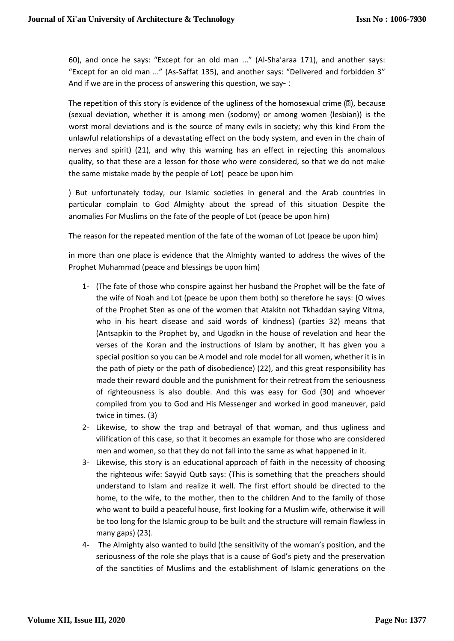60), and once he says: "Except for an old man ..." (Al-Sha'araa 171), and another says: "Except for an old man ..." (As-Saffat 135), and another says: "Delivered and forbidden 3" And if we are in the process of answering this question, we say- :

The repetition of this story is evidence of the ugliness of the homosexual crime  $(\mathbb{D})$ , because (sexual deviation, whether it is among men (sodomy) or among women (lesbian)) is the worst moral deviations and is the source of many evils in society; why this kind From the unlawful relationships of a devastating effect on the body system, and even in the chain of nerves and spirit) (21), and why this warning has an effect in rejecting this anomalous quality, so that these are a lesson for those who were considered, so that we do not make the same mistake made by the people of Lot( peace be upon him

) But unfortunately today, our Islamic societies in general and the Arab countries in particular complain to God Almighty about the spread of this situation Despite the anomalies For Muslims on the fate of the people of Lot (peace be upon him)

The reason for the repeated mention of the fate of the woman of Lot (peace be upon him)

in more than one place is evidence that the Almighty wanted to address the wives of the Prophet Muhammad (peace and blessings be upon him)

- 1- (The fate of those who conspire against her husband the Prophet will be the fate of the wife of Noah and Lot (peace be upon them both) so therefore he says: {O wives of the Prophet Sten as one of the women that Atakitn not Tkhaddan saying Vitma, who in his heart disease and said words of kindness} (parties 32) means that (Antsapkin to the Prophet by, and Ugodkn in the house of revelation and hear the verses of the Koran and the instructions of Islam by another, It has given you a special position so you can be A model and role model for all women, whether it is in the path of piety or the path of disobedience) (22), and this great responsibility has made their reward double and the punishment for their retreat from the seriousness of righteousness is also double. And this was easy for God (30) and whoever compiled from you to God and His Messenger and worked in good maneuver, paid twice in times. (3)
- 2- Likewise, to show the trap and betrayal of that woman, and thus ugliness and vilification of this case, so that it becomes an example for those who are considered men and women, so that they do not fall into the same as what happened in it.
- 3- Likewise, this story is an educational approach of faith in the necessity of choosing the righteous wife: Sayyid Qutb says: (This is something that the preachers should understand to Islam and realize it well. The first effort should be directed to the home, to the wife, to the mother, then to the children And to the family of those who want to build a peaceful house, first looking for a Muslim wife, otherwise it will be too long for the Islamic group to be built and the structure will remain flawless in many gaps) (23).
- 4- The Almighty also wanted to build (the sensitivity of the woman's position, and the seriousness of the role she plays that is a cause of God's piety and the preservation of the sanctities of Muslims and the establishment of Islamic generations on the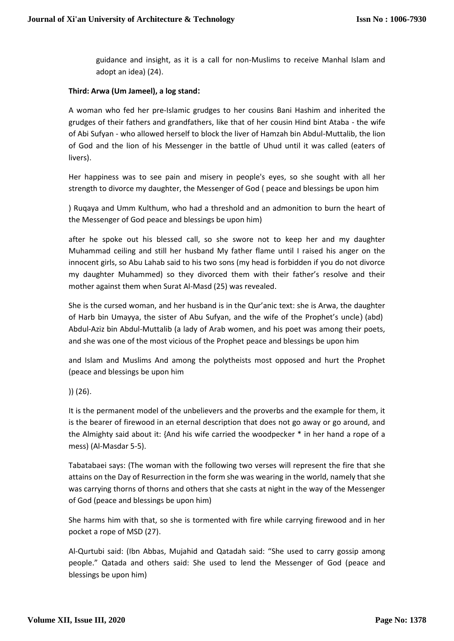guidance and insight, as it is a call for non-Muslims to receive Manhal Islam and adopt an idea) (24).

#### **Third: Arwa (Um Jameel), a log stand:**

A woman who fed her pre-Islamic grudges to her cousins Bani Hashim and inherited the grudges of their fathers and grandfathers, like that of her cousin Hind bint Ataba - the wife of Abi Sufyan - who allowed herself to block the liver of Hamzah bin Abdul-Muttalib, the lion of God and the lion of his Messenger in the battle of Uhud until it was called (eaters of livers).

Her happiness was to see pain and misery in people's eyes, so she sought with all her strength to divorce my daughter, the Messenger of God ( peace and blessings be upon him

) Ruqaya and Umm Kulthum, who had a threshold and an admonition to burn the heart of the Messenger of God peace and blessings be upon him)

after he spoke out his blessed call, so she swore not to keep her and my daughter Muhammad ceiling and still her husband My father flame until I raised his anger on the innocent girls, so Abu Lahab said to his two sons (my head is forbidden if you do not divorce my daughter Muhammed) so they divorced them with their father's resolve and their mother against them when Surat Al-Masd (25) was revealed.

She is the cursed woman, and her husband is in the Qur'anic text: she is Arwa, the daughter of Harb bin Umayya, the sister of Abu Sufyan, and the wife of the Prophet's uncle) (abd) Abdul-Aziz bin Abdul-Muttalib (a lady of Arab women, and his poet was among their poets, and she was one of the most vicious of the Prophet peace and blessings be upon him

and Islam and Muslims And among the polytheists most opposed and hurt the Prophet (peace and blessings be upon him

)) (26).

It is the permanent model of the unbelievers and the proverbs and the example for them, it is the bearer of firewood in an eternal description that does not go away or go around, and the Almighty said about it: {And his wife carried the woodpecker \* in her hand a rope of a mess) (Al-Masdar 5-5).

Tabatabaei says: (The woman with the following two verses will represent the fire that she attains on the Day of Resurrection in the form she was wearing in the world, namely that she was carrying thorns of thorns and others that she casts at night in the way of the Messenger of God (peace and blessings be upon him)

She harms him with that, so she is tormented with fire while carrying firewood and in her pocket a rope of MSD (27).

Al-Qurtubi said: (Ibn Abbas, Mujahid and Qatadah said: "She used to carry gossip among people." Qatada and others said: She used to lend the Messenger of God (peace and blessings be upon him)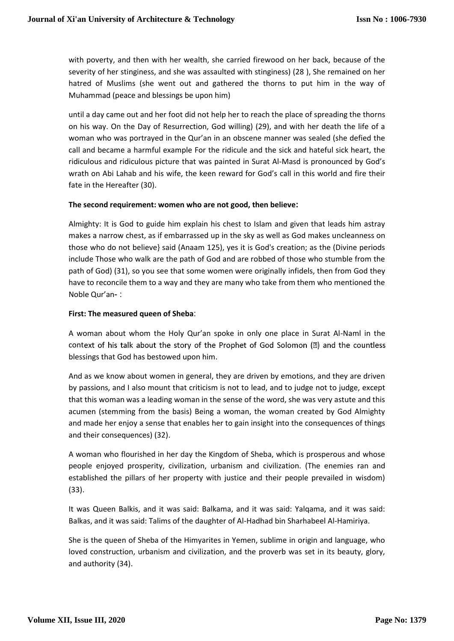with poverty, and then with her wealth, she carried firewood on her back, because of the severity of her stinginess, and she was assaulted with stinginess) (28 ), She remained on her hatred of Muslims (she went out and gathered the thorns to put him in the way of Muhammad (peace and blessings be upon him)

until a day came out and her foot did not help her to reach the place of spreading the thorns on his way. On the Day of Resurrection, God willing) (29), and with her death the life of a woman who was portrayed in the Qur'an in an obscene manner was sealed (she defied the call and became a harmful example For the ridicule and the sick and hateful sick heart, the ridiculous and ridiculous picture that was painted in Surat Al-Masd is pronounced by God's wrath on Abi Lahab and his wife, the keen reward for God's call in this world and fire their fate in the Hereafter (30).

#### **The second requirement: women who are not good, then believe:**

Almighty: It is God to guide him explain his chest to Islam and given that leads him astray makes a narrow chest, as if embarrassed up in the sky as well as God makes uncleanness on those who do not believe} said (Anaam 125), yes it is God's creation; as the (Divine periods include Those who walk are the path of God and are robbed of those who stumble from the path of God) (31), so you see that some women were originally infidels, then from God they have to reconcile them to a way and they are many who take from them who mentioned the Noble Qur'an- :

#### **First: The measured queen of Sheba**:

A woman about whom the Holy Qur'an spoke in only one place in Surat Al-Naml in the context of his talk about the story of the Prophet of God Solomon  $(\mathbb{Z})$  and the countless blessings that God has bestowed upon him.

And as we know about women in general, they are driven by emotions, and they are driven by passions, and I also mount that criticism is not to lead, and to judge not to judge, except that this woman was a leading woman in the sense of the word, she was very astute and this acumen (stemming from the basis) Being a woman, the woman created by God Almighty and made her enjoy a sense that enables her to gain insight into the consequences of things and their consequences) (32).

A woman who flourished in her day the Kingdom of Sheba, which is prosperous and whose people enjoyed prosperity, civilization, urbanism and civilization. (The enemies ran and established the pillars of her property with justice and their people prevailed in wisdom) (33).

It was Queen Balkis, and it was said: Balkama, and it was said: Yalqama, and it was said: Balkas, and it was said: Talims of the daughter of Al-Hadhad bin Sharhabeel Al-Hamiriya.

She is the queen of Sheba of the Himyarites in Yemen, sublime in origin and language, who loved construction, urbanism and civilization, and the proverb was set in its beauty, glory, and authority (34).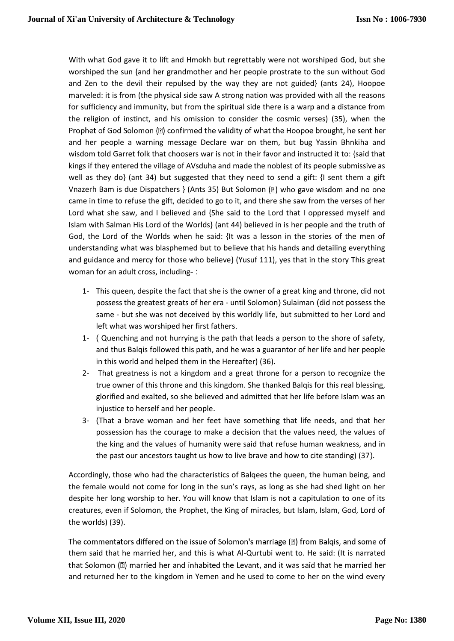With what God gave it to lift and Hmokh but regrettably were not worshiped God, but she worshiped the sun {and her grandmother and her people prostrate to the sun without God and Zen to the devil their repulsed by the way they are not guided} (ants 24), Hoopoe marveled: it is from (the physical side saw A strong nation was provided with all the reasons for sufficiency and immunity, but from the spiritual side there is a warp and a distance from the religion of instinct, and his omission to consider the cosmic verses) (35), when the Prophet of God Solomon (2) confirmed the validity of what the Hoopoe brought, he sent her and her people a warning message Declare war on them, but bug Yassin Bhnkiha and wisdom told Garret folk that choosers war is not in their favor and instructed it to: {said that kings if they entered the village of AVsduha and made the noblest of its people submissive as well as they do} (ant 34) but suggested that they need to send a gift: {I sent them a gift Vnazerh Bam is due Dispatchers } (Ants 35) But Solomon (2) who gave wisdom and no one came in time to refuse the gift, decided to go to it, and there she saw from the verses of her Lord what she saw, and I believed and {She said to the Lord that I oppressed myself and Islam with Salman His Lord of the Worlds} (ant 44) believed in is her people and the truth of God, the Lord of the Worlds when he said: {It was a lesson in the stories of the men of understanding what was blasphemed but to believe that his hands and detailing everything and guidance and mercy for those who believe} (Yusuf 111), yes that in the story This great woman for an adult cross, including- :

- 1- This queen, despite the fact that she is the owner of a great king and throne, did not possess the greatest greats of her era - until Solomon) Sulaiman (did not possess the same - but she was not deceived by this worldly life, but submitted to her Lord and left what was worshiped her first fathers.
- 1- ( Quenching and not hurrying is the path that leads a person to the shore of safety, and thus Balqis followed this path, and he was a guarantor of her life and her people in this world and helped them in the Hereafter) (36).
- 2- That greatness is not a kingdom and a great throne for a person to recognize the true owner of this throne and this kingdom. She thanked Balqis for this real blessing, glorified and exalted, so she believed and admitted that her life before Islam was an injustice to herself and her people.
- 3- (That a brave woman and her feet have something that life needs, and that her possession has the courage to make a decision that the values need, the values of the king and the values of humanity were said that refuse human weakness, and in the past our ancestors taught us how to live brave and how to cite standing) (37).

Accordingly, those who had the characteristics of Balqees the queen, the human being, and the female would not come for long in the sun's rays, as long as she had shed light on her despite her long worship to her. You will know that Islam is not a capitulation to one of its creatures, even if Solomon, the Prophet, the King of miracles, but Islam, Islam, God, Lord of the worlds) (39).

The commentators differed on the issue of Solomon's marriage (2) from Balqis, and some of them said that he married her, and this is what Al-Qurtubi went to. He said: (It is narrated that Solomon (2) married her and inhabited the Levant, and it was said that he married her and returned her to the kingdom in Yemen and he used to come to her on the wind every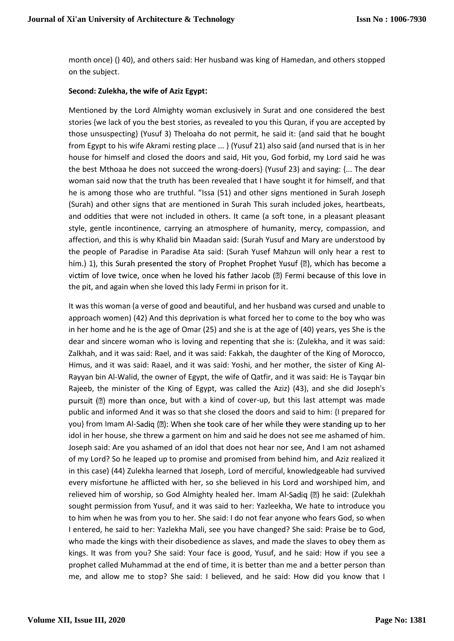month once) () 40), and others said: Her husband was king of Hamedan, and others stopped on the subject.

#### **Second: Zulekha, the wife of Aziz Egypt:**

Mentioned by the Lord Almighty woman exclusively in Surat and one considered the best stories {we lack of you the best stories, as revealed to you this Quran, if you are accepted by those unsuspecting} (Yusuf 3) Theloaha do not permit, he said it: {and said that he bought from Egypt to his wife Akrami resting place ... } (Yusuf 21) also said {and nursed that is in her house for himself and closed the doors and said, Hit you, God forbid, my Lord said he was the best Mthoaa he does not succeed the wrong-doers} (Yusuf 23) and saying: {... The dear woman said now that the truth has been revealed that I have sought it for himself, and that he is among those who are truthful. "Issa (51) and other signs mentioned in Surah Joseph (Surah) and other signs that are mentioned in Surah This surah included jokes, heartbeats, and oddities that were not included in others. It came (a soft tone, in a pleasant pleasant style, gentle incontinence, carrying an atmosphere of humanity, mercy, compassion, and affection, and this is why Khalid bin Maadan said: (Surah Yusuf and Mary are understood by the people of Paradise in Paradise Ata said: (Surah Yusef Mahzun will only hear a rest to him.) 1), this Surah presented the story of Prophet Prophet Yusuf (a), which has become a victim of love twice, once when he loved his father Jacob (2) Fermi because of this love in the pit, and again when she loved this lady Fermi in prison for it.

It was this woman (a verse of good and beautiful, and her husband was cursed and unable to approach women) (42) And this deprivation is what forced her to come to the boy who was in her home and he is the age of Omar (25) and she is at the age of (40) years, yes She is the dear and sincere woman who is loving and repenting that she is: (Zulekha, and it was said: Zalkhah, and it was said: Rael, and it was said: Fakkah, the daughter of the King of Morocco, Himus, and it was said: Raael, and it was said: Yoshi, and her mother, the sister of King Al-Rayyan bin Al-Walid, the owner of Egypt, the wife of Qatfir, and it was said: He is Tayqar bin Rajeeb, the minister of the King of Egypt, was called the Aziz) (43), and she did Joseph's pursuit  $(\mathbb{Z})$  more than once, but with a kind of cover-up, but this last attempt was made public and informed And it was so that she closed the doors and said to him: {I prepared for you} from Imam Al-Sadiq (2): When she took care of her while they were standing up to her idol in her house, she threw a garment on him and said he does not see me ashamed of him. Joseph said: Are you ashamed of an idol that does not hear nor see, And I am not ashamed of my Lord? So he leaped up to promise and promised from behind him, and Aziz realized it in this case) (44) Zulekha learned that Joseph, Lord of merciful, knowledgeable had survived every misfortune he afflicted with her, so she believed in his Lord and worshiped him, and relieved him of worship, so God Almighty healed her. Imam Al-Sadiq  $(\mathbb{Z})$  he said: (Zulekhah sought permission from Yusuf, and it was said to her: Yazleekha, We hate to introduce you to him when he was from you to her. She said: I do not fear anyone who fears God, so when I entered, he said to her: Yazlekha Mali, see you have changed? She said: Praise be to God, who made the kings with their disobedience as slaves, and made the slaves to obey them as kings. It was from you? She said: Your face is good, Yusuf, and he said: How if you see a prophet called Muhammad at the end of time, it is better than me and a better person than me, and allow me to stop? She said: I believed, and he said: How did you know that I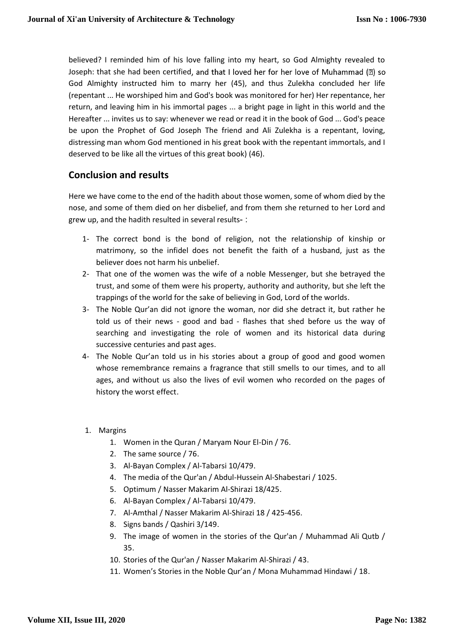believed? I reminded him of his love falling into my heart, so God Almighty revealed to Joseph: that she had been certified, and that I loved her for her love of Muhammad (2) so God Almighty instructed him to marry her (45), and thus Zulekha concluded her life (repentant ... He worshiped him and God's book was monitored for her) Her repentance, her return, and leaving him in his immortal pages ... a bright page in light in this world and the Hereafter ... invites us to say: whenever we read or read it in the book of God ... God's peace be upon the Prophet of God Joseph The friend and Ali Zulekha is a repentant, loving, distressing man whom God mentioned in his great book with the repentant immortals, and I deserved to be like all the virtues of this great book) (46).

## **Conclusion and results**

Here we have come to the end of the hadith about those women, some of whom died by the nose, and some of them died on her disbelief, and from them she returned to her Lord and grew up, and the hadith resulted in several results- :

- 1- The correct bond is the bond of religion, not the relationship of kinship or matrimony, so the infidel does not benefit the faith of a husband, just as the believer does not harm his unbelief.
- 2- That one of the women was the wife of a noble Messenger, but she betrayed the trust, and some of them were his property, authority and authority, but she left the trappings of the world for the sake of believing in God, Lord of the worlds.
- 3- The Noble Qur'an did not ignore the woman, nor did she detract it, but rather he told us of their news - good and bad - flashes that shed before us the way of searching and investigating the role of women and its historical data during successive centuries and past ages.
- 4- The Noble Qur'an told us in his stories about a group of good and good women whose remembrance remains a fragrance that still smells to our times, and to all ages, and without us also the lives of evil women who recorded on the pages of history the worst effect.
- 1. Margins
	- 1. Women in the Quran / Maryam Nour El-Din / 76.
	- 2. The same source / 76.
	- 3. Al-Bayan Complex / Al-Tabarsi 10/479.
	- 4. The media of the Qur'an / Abdul-Hussein Al-Shabestari / 1025.
	- 5. Optimum / Nasser Makarim Al-Shirazi 18/425.
	- 6. Al-Bayan Complex / Al-Tabarsi 10/479.
	- 7. Al-Amthal / Nasser Makarim Al-Shirazi 18 / 425-456.
	- 8. Signs bands / Qashiri 3/149.
	- 9. The image of women in the stories of the Qur'an / Muhammad Ali Qutb / 35.
	- 10. Stories of the Qur'an / Nasser Makarim Al-Shirazi / 43.
	- 11. Women's Stories in the Noble Qur'an / Mona Muhammad Hindawi / 18.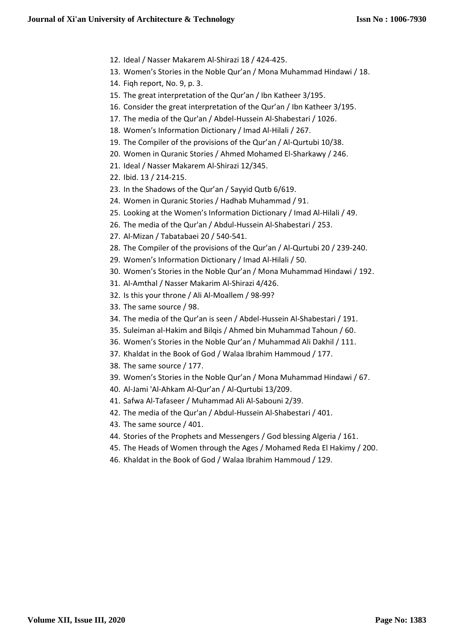- 12. Ideal / Nasser Makarem Al-Shirazi 18 / 424-425.
- 13. Women's Stories in the Noble Qur'an / Mona Muhammad Hindawi / 18.
- 14. Fiqh report, No. 9, p. 3.
- 15. The great interpretation of the Qur'an / Ibn Katheer 3/195.
- 16. Consider the great interpretation of the Qur'an / Ibn Katheer 3/195.
- 17. The media of the Qur'an / Abdel-Hussein Al-Shabestari / 1026.
- 18. Women's Information Dictionary / Imad Al-Hilali / 267.
- 19. The Compiler of the provisions of the Qur'an / Al-Qurtubi 10/38.
- 20. Women in Quranic Stories / Ahmed Mohamed El-Sharkawy / 246.
- 21. Ideal / Nasser Makarem Al-Shirazi 12/345.
- 22. Ibid. 13 / 214-215.
- 23. In the Shadows of the Qur'an / Sayyid Qutb 6/619.
- 24. Women in Quranic Stories / Hadhab Muhammad / 91.
- 25. Looking at the Women's Information Dictionary / Imad Al-Hilali / 49.
- 26. The media of the Qur'an / Abdul-Hussein Al-Shabestari / 253.
- 27. Al-Mizan / Tabatabaei 20 / 540-541.
- 28. The Compiler of the provisions of the Qur'an / Al-Qurtubi 20 / 239-240.
- 29. Women's Information Dictionary / Imad Al-Hilali / 50.
- 30. Women's Stories in the Noble Qur'an / Mona Muhammad Hindawi / 192.
- 31. Al-Amthal / Nasser Makarim Al-Shirazi 4/426.
- 32. Is this your throne / Ali Al-Moallem / 98-99?
- 33. The same source / 98.
- 34. The media of the Qur'an is seen / Abdel-Hussein Al-Shabestari / 191.
- 35. Suleiman al-Hakim and Bilqis / Ahmed bin Muhammad Tahoun / 60.
- 36. Women's Stories in the Noble Qur'an / Muhammad Ali Dakhil / 111.
- 37. Khaldat in the Book of God / Walaa Ibrahim Hammoud / 177.
- 38. The same source / 177.
- 39. Women's Stories in the Noble Qur'an / Mona Muhammad Hindawi / 67.
- 40. Al-Jami 'Al-Ahkam Al-Qur'an / Al-Qurtubi 13/209.
- 41. Safwa Al-Tafaseer / Muhammad Ali Al-Sabouni 2/39.
- 42. The media of the Qur'an / Abdul-Hussein Al-Shabestari / 401.
- 43. The same source / 401.
- 44. Stories of the Prophets and Messengers / God blessing Algeria / 161.
- 45. The Heads of Women through the Ages / Mohamed Reda El Hakimy / 200.
- 46. Khaldat in the Book of God / Walaa Ibrahim Hammoud / 129.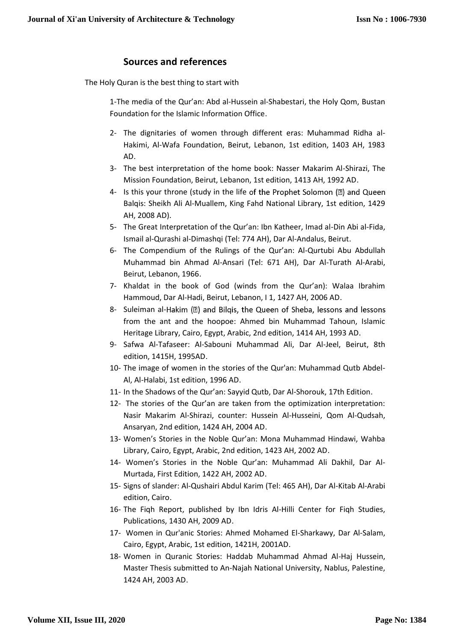### **Sources and references**

The Holy Quran is the best thing to start with

1-The media of the Qur'an: Abd al-Hussein al-Shabestari, the Holy Qom, Bustan Foundation for the Islamic Information Office.

- 2- The dignitaries of women through different eras: Muhammad Ridha al-Hakimi, Al-Wafa Foundation, Beirut, Lebanon, 1st edition, 1403 AH, 1983 AD.
- 3- The best interpretation of the home book: Nasser Makarim Al-Shirazi, The Mission Foundation, Beirut, Lebanon, 1st edition, 1413 AH, 1992 AD.
- 4- Is this your throne (study in the life of the Prophet Solomon (2) and Queen Balqis: Sheikh Ali Al-Muallem, King Fahd National Library, 1st edition, 1429 AH, 2008 AD).
- 5- The Great Interpretation of the Qur'an: Ibn Katheer, Imad al-Din Abi al-Fida, Ismail al-Qurashi al-Dimashqi (Tel: 774 AH), Dar Al-Andalus, Beirut.
- 6- The Compendium of the Rulings of the Qur'an: Al-Qurtubi Abu Abdullah Muhammad bin Ahmad Al-Ansari (Tel: 671 AH), Dar Al-Turath Al-Arabi, Beirut, Lebanon, 1966.
- 7- Khaldat in the book of God (winds from the Qur'an): Walaa Ibrahim Hammoud, Dar Al-Hadi, Beirut, Lebanon, I 1, 1427 AH, 2006 AD.
- 8- Suleiman al-Hakim (2) and Bilqis, the Queen of Sheba, lessons and lessons from the ant and the hoopoe: Ahmed bin Muhammad Tahoun, Islamic Heritage Library, Cairo, Egypt, Arabic, 2nd edition, 1414 AH, 1993 AD.
- 9- Safwa Al-Tafaseer: Al-Sabouni Muhammad Ali, Dar Al-Jeel, Beirut, 8th edition, 1415H, 1995AD.
- 10- The image of women in the stories of the Qur'an: Muhammad Qutb Abdel-Al, Al-Halabi, 1st edition, 1996 AD.
- 11- In the Shadows of the Qur'an: Sayyid Qutb, Dar Al-Shorouk, 17th Edition.
- 12- The stories of the Qur'an are taken from the optimization interpretation: Nasir Makarim Al-Shirazi, counter: Hussein Al-Husseini, Qom Al-Qudsah, Ansaryan, 2nd edition, 1424 AH, 2004 AD.
- 13- Women's Stories in the Noble Qur'an: Mona Muhammad Hindawi, Wahba Library, Cairo, Egypt, Arabic, 2nd edition, 1423 AH, 2002 AD.
- 14- Women's Stories in the Noble Qur'an: Muhammad Ali Dakhil, Dar Al-Murtada, First Edition, 1422 AH, 2002 AD.
- 15- Signs of slander: Al-Qushairi Abdul Karim (Tel: 465 AH), Dar Al-Kitab Al-Arabi edition, Cairo.
- 16- The Fiqh Report, published by Ibn Idris Al-Hilli Center for Fiqh Studies, Publications, 1430 AH, 2009 AD.
- 17- Women in Qur'anic Stories: Ahmed Mohamed El-Sharkawy, Dar Al-Salam, Cairo, Egypt, Arabic, 1st edition, 1421H, 2001AD.
- 18- Women in Quranic Stories: Haddab Muhammad Ahmad Al-Haj Hussein, Master Thesis submitted to An-Najah National University, Nablus, Palestine, 1424 AH, 2003 AD.